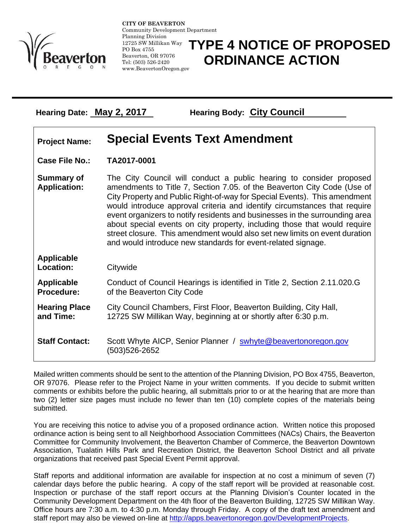

**CITY OF BEAVERTON** Community Development Department Planning Division 12725 SW Millikan Way PO Box 4755 Beaverton, OR 97076 Tel: (503) 526-2420 www.BeavertonOregon.gov

## **TYPE 4 NOTICE OF PROPOSED ORDINANCE ACTION**

**Hearing Date: May 2, 2017 Hearing Body: City Council**

## **Project Name: Special Events Text Amendment**

**Case File No.: TA2017-0001**

**Summary of Application:** The City Council will conduct a public hearing to consider proposed amendments to Title 7, Section 7.05. of the Beaverton City Code (Use of City Property and Public Right-of-way for Special Events). This amendment would introduce approval criteria and identify circumstances that require event organizers to notify residents and businesses in the surrounding area about special events on city property, including those that would require street closure. This amendment would also set new limits on event duration and would introduce new standards for event-related signage.

| <b>Applicable</b><br>Location: | Citywide                                                                       |
|--------------------------------|--------------------------------------------------------------------------------|
| Applicable                     | Conduct of Council Hearings is identified in Title 2, Section 2.11.020.G       |
| <b>Procedure:</b>              | of the Beaverton City Code                                                     |
| <b>Hearing Place</b>           | City Council Chambers, First Floor, Beaverton Building, City Hall,             |
| and Time:                      | 12725 SW Millikan Way, beginning at or shortly after 6:30 p.m.                 |
| <b>Staff Contact:</b>          | Scott Whyte AICP, Senior Planner / swhyte@beavertonoregon.gov<br>(503)526-2652 |

Mailed written comments should be sent to the attention of the Planning Division, PO Box 4755, Beaverton, OR 97076. Please refer to the Project Name in your written comments. If you decide to submit written comments or exhibits before the public hearing, all submittals prior to or at the hearing that are more than two (2) letter size pages must include no fewer than ten (10) complete copies of the materials being submitted.

You are receiving this notice to advise you of a proposed ordinance action. Written notice this proposed ordinance action is being sent to all Neighborhood Association Committees (NACs) Chairs, the Beaverton Committee for Community Involvement, the Beaverton Chamber of Commerce, the Beaverton Downtown Association, Tualatin Hills Park and Recreation District, the Beaverton School District and all private organizations that received past Special Event Permit approval.

Staff reports and additional information are available for inspection at no cost a minimum of seven (7) calendar days before the public hearing. A copy of the staff report will be provided at reasonable cost. Inspection or purchase of the staff report occurs at the Planning Division's Counter located in the Community Development Department on the 4th floor of the Beaverton Building, 12725 SW Millikan Way. Office hours are 7:30 a.m. to 4:30 p.m. Monday through Friday. A copy of the draft text amendment and staff report may also be viewed on-line at [http://apps.beavertonoregon.gov/DevelopmentProjects.](http://apps.beavertonoregon.gov/DevelopmentProjects)